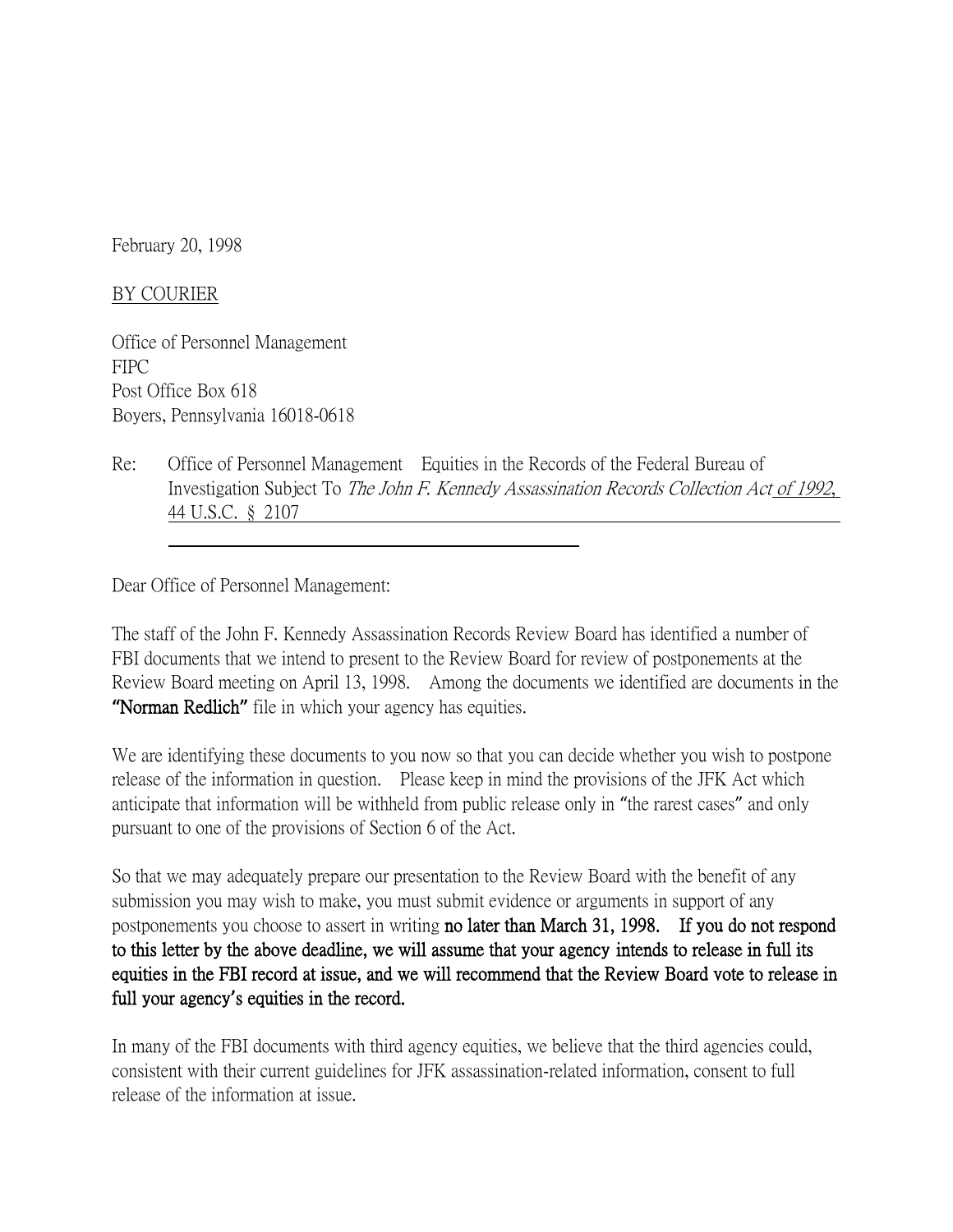February 20, 1998

## BY COURIER

Office of Personnel Management FIPC Post Office Box 618 Boyers, Pennsylvania 16018-0618

Re: Office of Personnel Management Equities in the Records of the Federal Bureau of Investigation Subject To The John F. Kennedy Assassination Records Collection Act of 1992, 44 U.S.C. § 2107

Dear Office of Personnel Management:

The staff of the John F. Kennedy Assassination Records Review Board has identified a number of FBI documents that we intend to present to the Review Board for review of postponements at the Review Board meeting on April 13, 1998. Among the documents we identified are documents in the **"**Norman Redlich**"** file in which your agency has equities.

We are identifying these documents to you now so that you can decide whether you wish to postpone release of the information in question. Please keep in mind the provisions of the JFK Act which anticipate that information will be withheld from public release only in "the rarest cases" and only pursuant to one of the provisions of Section 6 of the Act.

So that we may adequately prepare our presentation to the Review Board with the benefit of any submission you may wish to make, you must submit evidence or arguments in support of any postponements you choose to assert in writing no later than March 31, 1998. If you do not respond to this letter by the above deadline, we will assume that your agency intends to release in full its equities in the FBI record at issue, and we will recommend that the Review Board vote to release in full your agency**'**s equities in the record.

In many of the FBI documents with third agency equities, we believe that the third agencies could, consistent with their current guidelines for JFK assassination-related information, consent to full release of the information at issue.